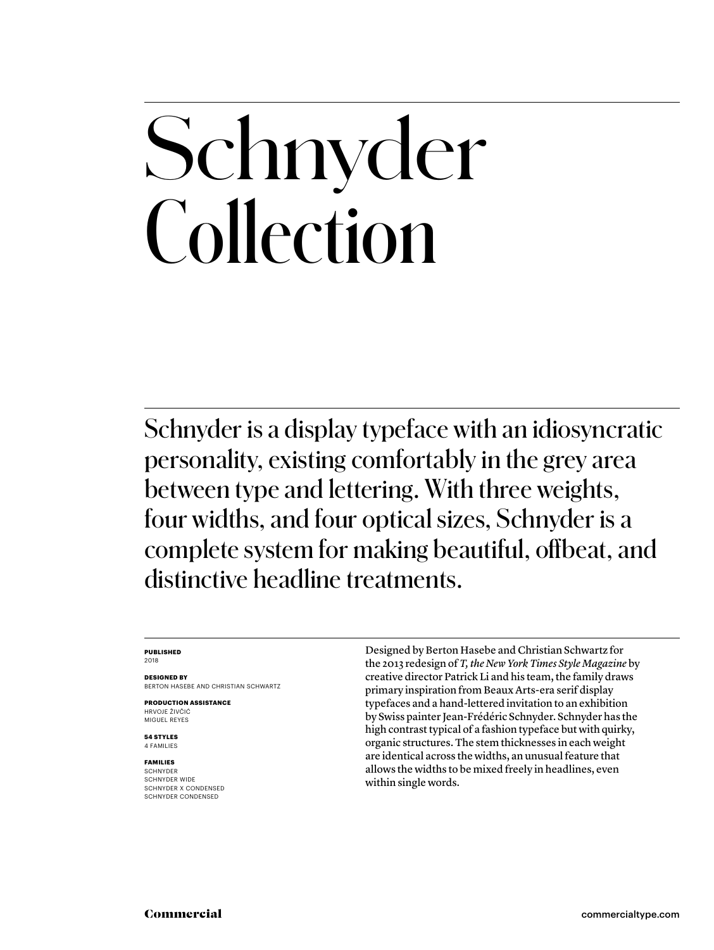## Schnyder Collection

Schnyder is a display typeface with an idiosyncratic personality, existing comfortably in the grey area between type and lettering. With three weights, four widths, and four optical sizes, Schnyder is a complete system for making beautiful, offbeat, and distinctive headline treatments.

#### **PUBLISHED** 2018

**DESIGNED BY**

BERTON HASEBE AND CHRISTIAN SCHWARTZ

**PRODUCTION ASSISTANCE** HRVOJE ŽIVČIĆ MIGUEL REYES

**54 STYLES** 4 FAMILIES

#### **FAMILIES**

**SCHNYDER** SCHNYDER WIDE SCHNYDER X CONDENSED SCHNYDER CONDENSED

Designed by Berton Hasebe and Christian Schwartz for the 2013 redesign of *T, the New York Times Style Magazine* by creative director Patrick Li and his team, the family draws primary inspiration from Beaux Arts-era serif display typefaces and a hand-lettered invitation to an exhibition by Swiss painter Jean-Frédéric Schnyder. Schnyder has the high contrast typical of a fashion typeface but with quirky, organic structures. The stem thicknesses in each weight are identical across the widths, an unusual feature that allows the widths to be mixed freely in headlines, even within single words.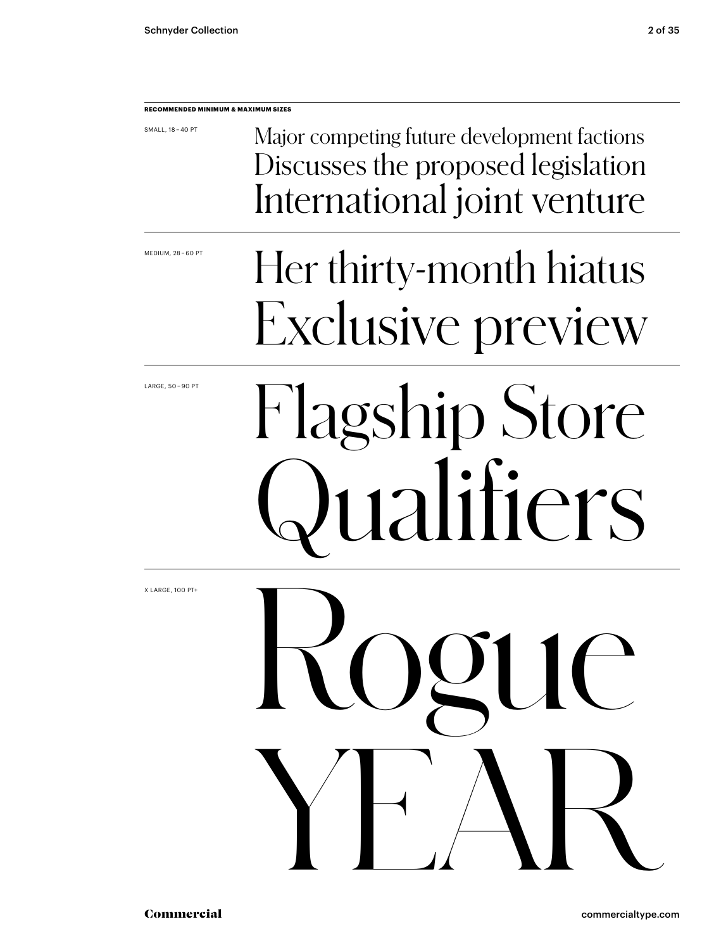### **RECOMMENDED MINIMUM & MAXIMUM SIZES** Flagship Store ualifiers SMALL, 18 – 40 PT MEDIUM, 28 – 60 PT Major competing future development factions Discusses the proposed legislation International joint venture Rogue YEAR Her thirty-month hiatus Exclusive preview

LARGE, 50 – 90 PT

X LARGE, 100 PT+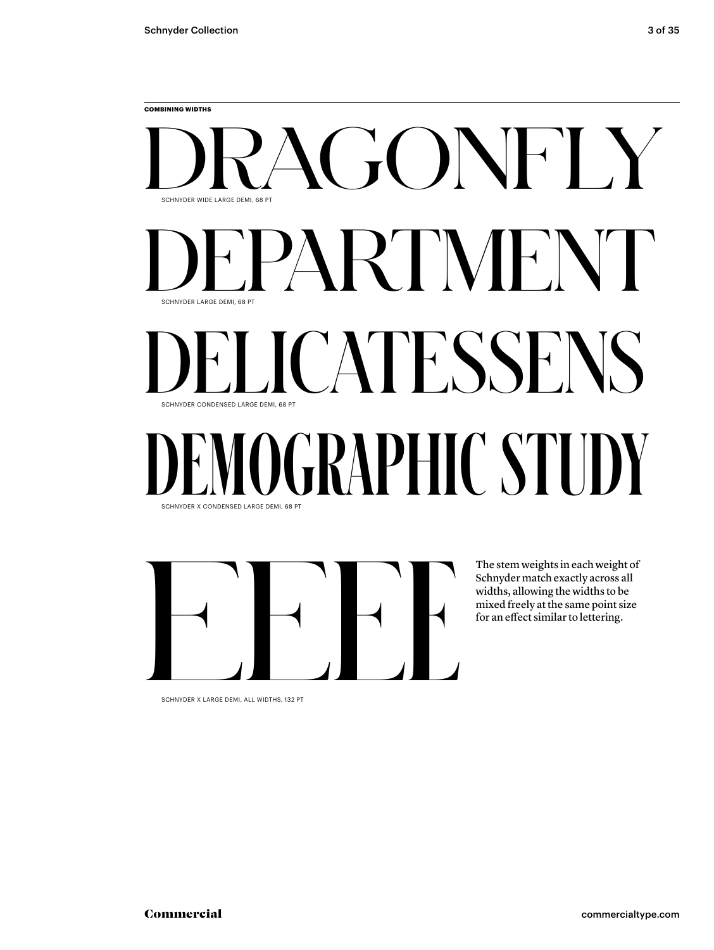



The stem weights in each weight of Schnyder match exactly across all widths, allowing the widths to be mixed freely at the same point size for an effect similar to lettering.

SCHNYDER X LARGE DEMI, ALL WIDTHS, 132 PT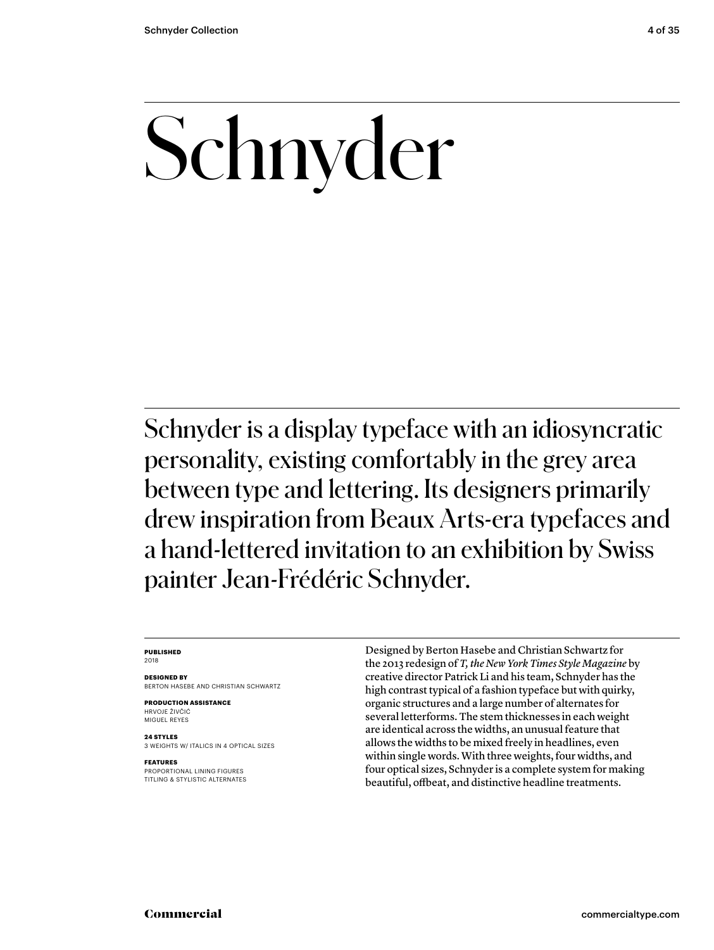## Schnyder

Schnyder is a display typeface with an idiosyncratic personality, existing comfortably in the grey area between type and lettering. Its designers primarily drew inspiration from Beaux Arts-era typefaces and a hand-lettered invitation to an exhibition by Swiss painter Jean-Frédéric Schnyder.

#### **PUBLISHED** 2018

#### **DESIGNED BY**

BERTON HASEBE AND CHRISTIAN SCHWARTZ

**PRODUCTION ASSISTANCE** HRVOJE ŽIVČIĆ MIGUEL REYES

#### **24 STYLES**

3 WEIGHTS W/ ITALICS IN 4 OPTICAL SIZES

#### **FEATURES**

PROPORTIONAL LINING FIGURES TITLING & STYLISTIC ALTERNATES Designed by Berton Hasebe and Christian Schwartz for the 2013 redesign of *T, the New York Times Style Magazine* by creative director Patrick Li and his team, Schnyder has the high contrast typical of a fashion typeface but with quirky, organic structures and a large number of alternates for several letterforms. The stem thicknesses in each weight are identical across the widths, an unusual feature that allows the widths to be mixed freely in headlines, even within single words. With three weights, four widths, and four optical sizes, Schnyder is a complete system for making beautiful, offbeat, and distinctive headline treatments.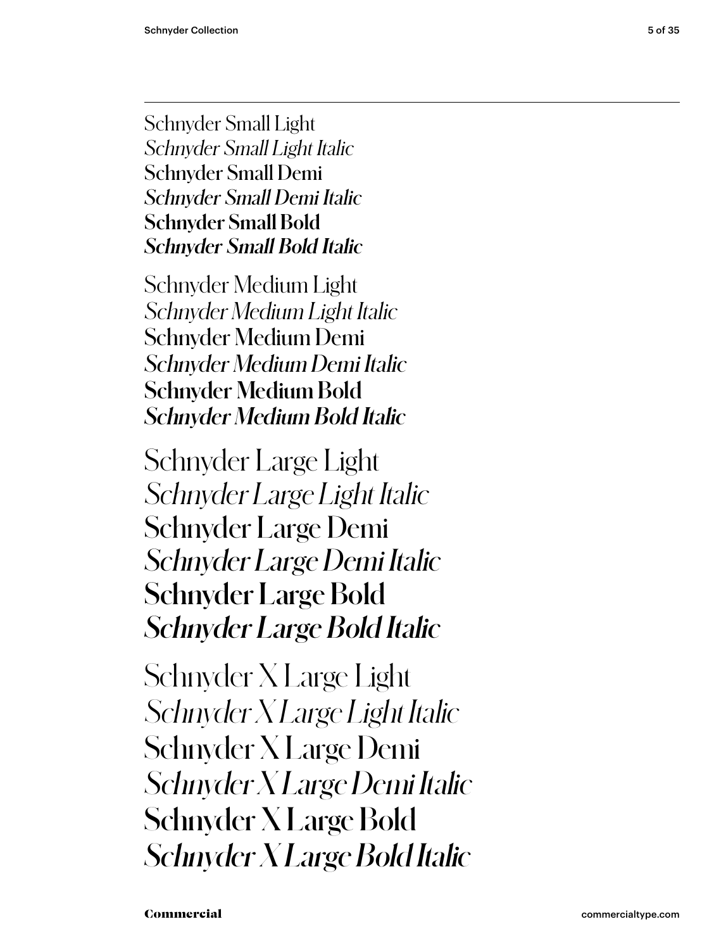Schnyder Small Light *Schnyder Small Light Italic* Schnyder Small Demi *Schnyder Small Demi Italic* **Schnyder Small Bold** *Schnyder Small Bold Italic*

Schnyder Medium Light *Schnyder Medium Light Italic* Schnyder Medium Demi *Schnyder Medium Demi Italic* **Schnyder Medium Bold** *Schnyder Medium Bold Italic*

Schnyder Large Light *Schnyder Large Light Italic* Schnyder Large Demi *Schnyder Large Demi Italic* **Schnyder Large Bold** *Schnyder Large Bold Italic*

Schnyder X Large Light *Schnyder X Large Light Italic* Schnyder X Large Demi *Schnyder X Large Demi Italic* **Schnyder X Large Bold** *Schnyder X Large Bold Italic*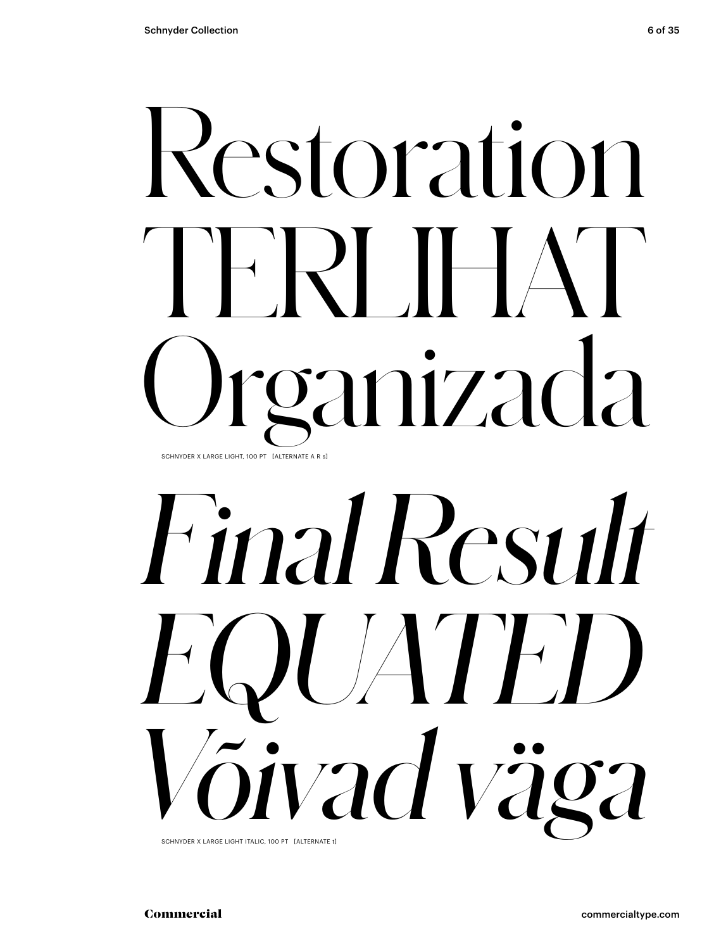## Restoration TERLIHAT Organizada SCHNYDER X LARGE LIGHT, 100 PT [ALTERNATE A R s]

# *Final Result EQUATED Võivad väga*

SCHNYDER X LARGE LIGHT ITALIC, 100 PT [ALTERNATE t]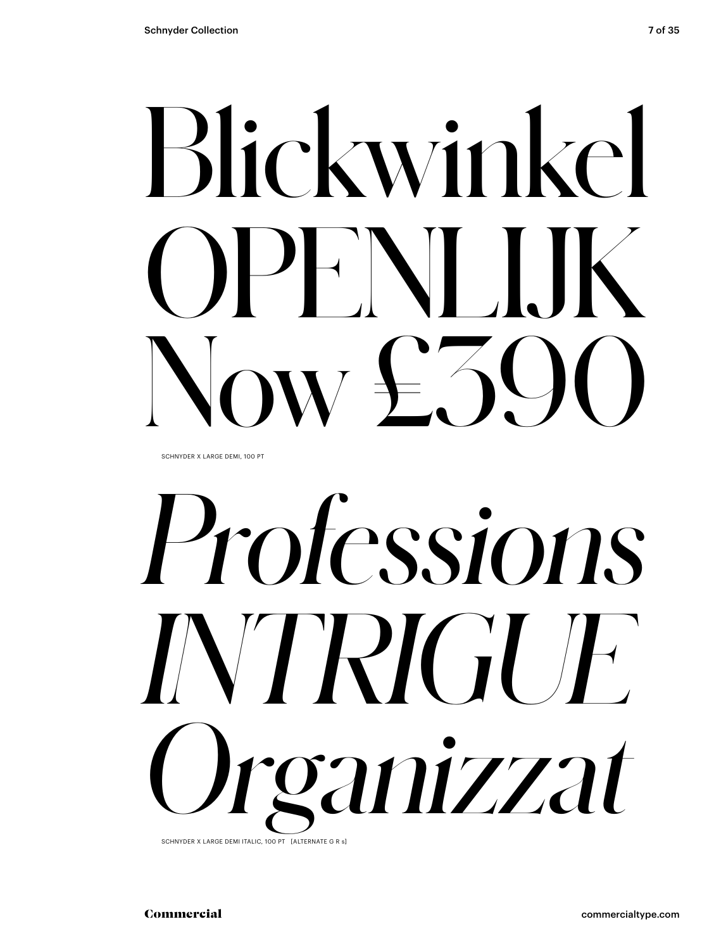# Blickwinkel OPENLIJK  $N/$   $\vdash$   $\land$

SCHNYDER X LARGE DEMI, 100 PT

# *Professions INTRIGUE Organizzat*

SCHNYDER X LARGE DEMI ITALIC, 100 PT [ALTERNATE G R s]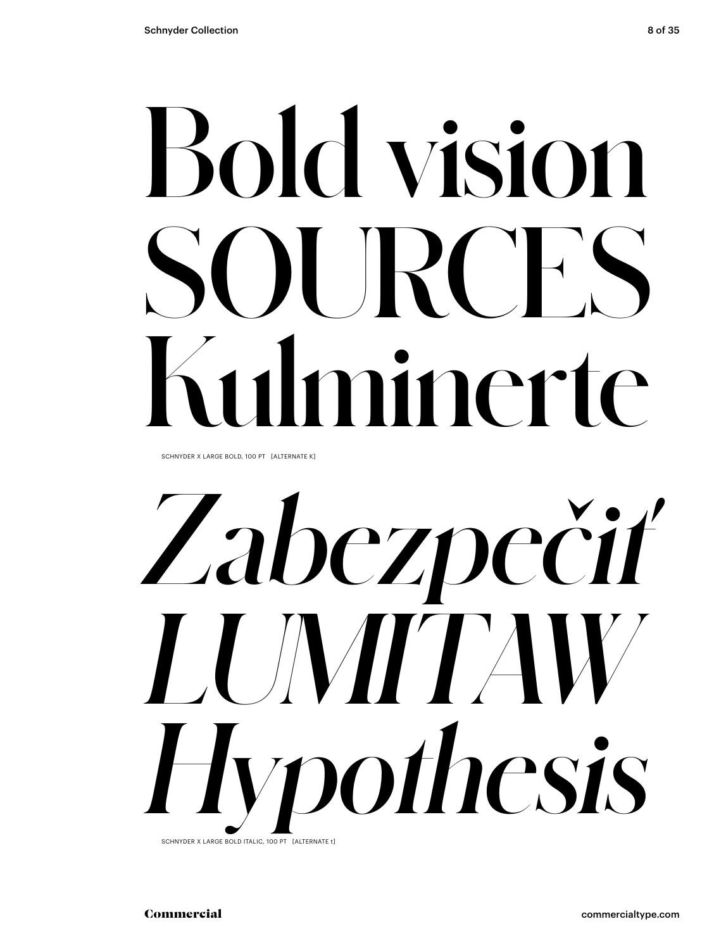# **Bold vision** LIRCES **Kulminerte**

SCHNYDER X LARGE BOLD, 100 PT [ALTERNATE K]

# *Zabezpečiť LUMITAW Hypothesis*

SCHNYDER X LARGE BOLD ITALIC, 100 PT [ALTERNATE t]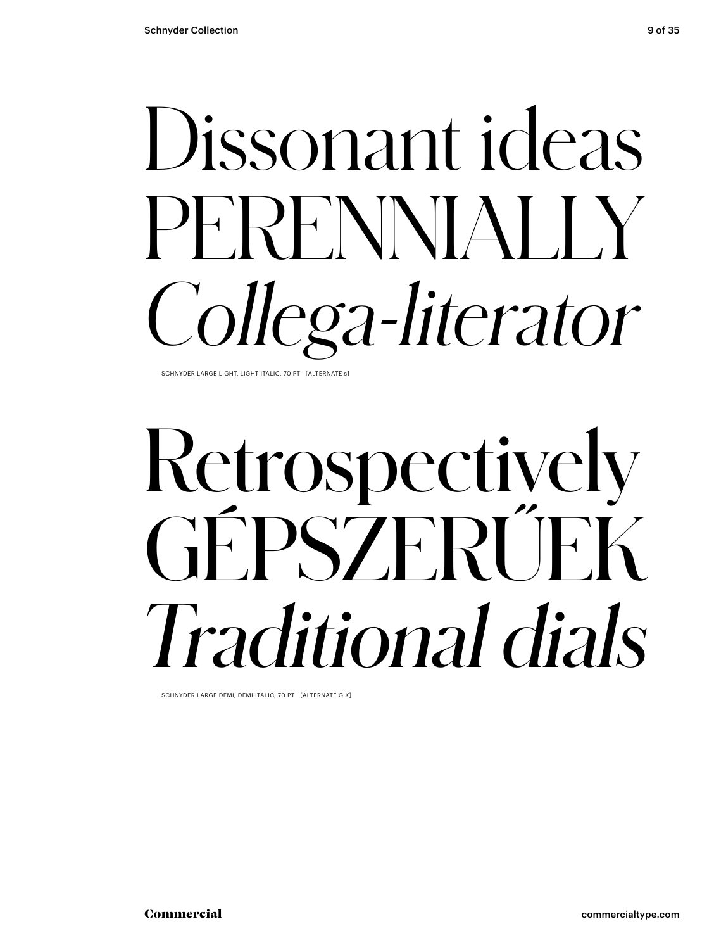## Dissonant ideas PERENNIALLY *Collega-literator*

SCHNYDER LARGE LIGHT, LIGHT ITALIC, 70 PT [ALTERNATE s]

## Retrospectively GÉPSZERŰEK *Traditional dials*

SCHNYDER LARGE DEMI, DEMI ITALIC, 70 PT [ALTERNATE G K]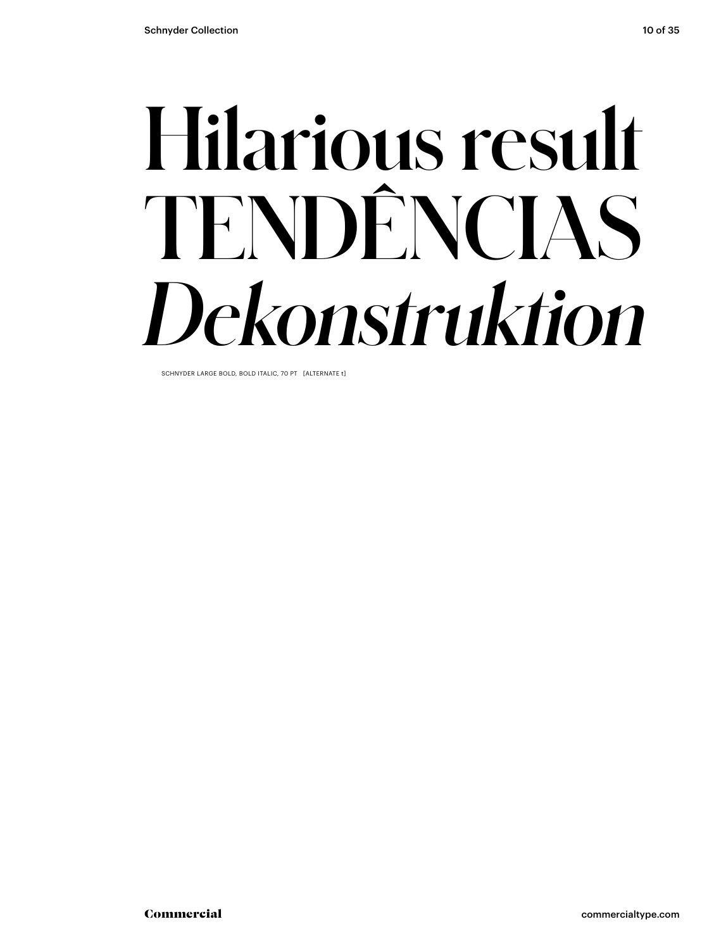## **Hilarious result TENDÊNCIAS** *Dekonstruktion*

SCHNYDER LARGE BOLD, BOLD ITALIC, 70 PT [ALTERNATE t]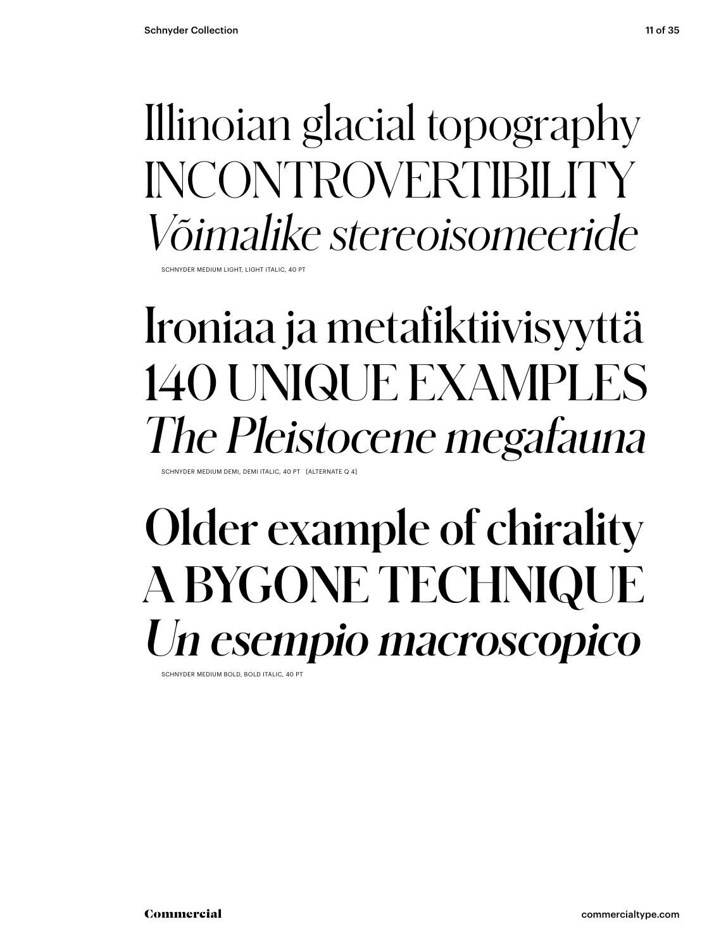### Illinoian glacial topography INCONTROVERTIBILITY *Võimalike stereoisomeeride*

SCHNYDER MEDIUM LIGHT, LIGHT ITALIC, 40 PT

### Ironiaa ja metafiktiivisyyttä 140 UNIQUE EXAMPLES *The Pleistocene megafauna*

SCHNYDER MEDIUM DEMI, DEMI ITALIC, 40 PT [ALTERNATE Q 4]

### **Older example of chirality A BYGONE TECHNIQUE** *Un esempio macroscopico*

SCHNYDER MEDIUM BOLD, BOLD ITALIC, 40 PT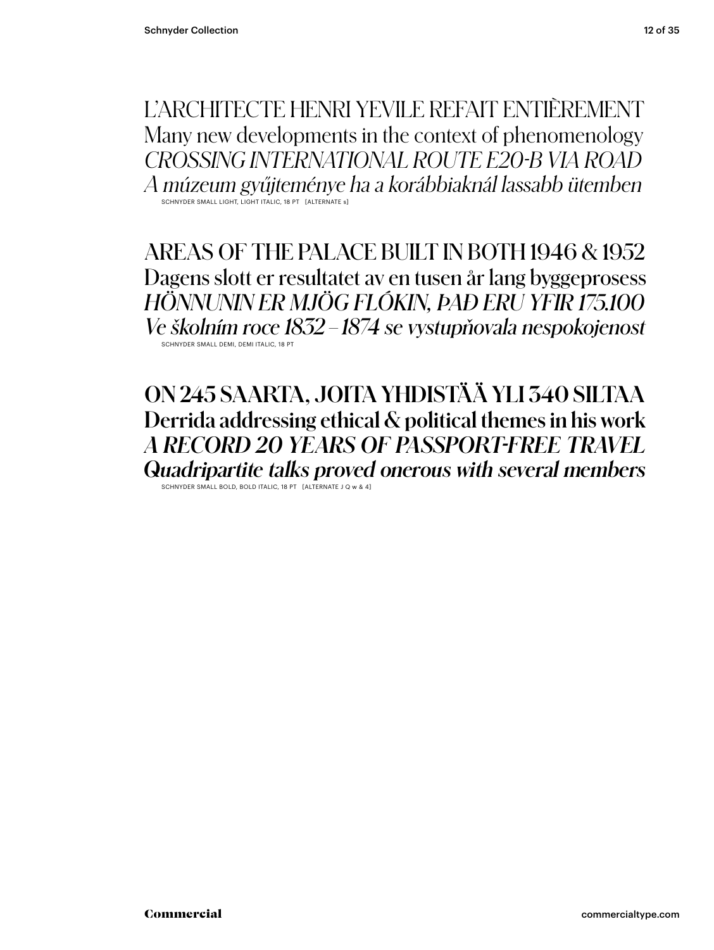L'ARCHITECTE HENRI YEVILE REFAIT ENTIÈREMENT Many new developments in the context of phenomenology *CROSSING INTERNATIONAL ROUTE E20-B VIA ROAD A múzeum gyűjteménye ha a korábbiaknál lassabb ütemben* SCHNYDER SMALL LIGHT, LIGHT ITALIC, 18 PT [ALTERNATE s]

SCHNYDER SMALL DEMI, DEMI ITALIC, 18 PT AREAS OF THE PALACE BUILT IN BOTH 1946 & 1952 Dagens slott er resultatet av en tusen år lang byggeprosess *HÖNNUNIN ER MJÖG FLÓKIN, ÞAÐ ERU YFIR 175.100 Ve školním roce 1832–1874 se vystupňovala nespokojenost*

**ON 245 SAARTA, JOITA YHDISTÄÄ YLI 340 SILTAA Derrida addressing ethical & political themes in his work** *A RECORD 20 YEARS OF PASSPORT-FREE TRAVEL Quadripartite talks proved onerous with several members*

SCHNYDER SMALL BOLD, BOLD ITALIC, 18 PT [ALTERNATE J Q w & 4]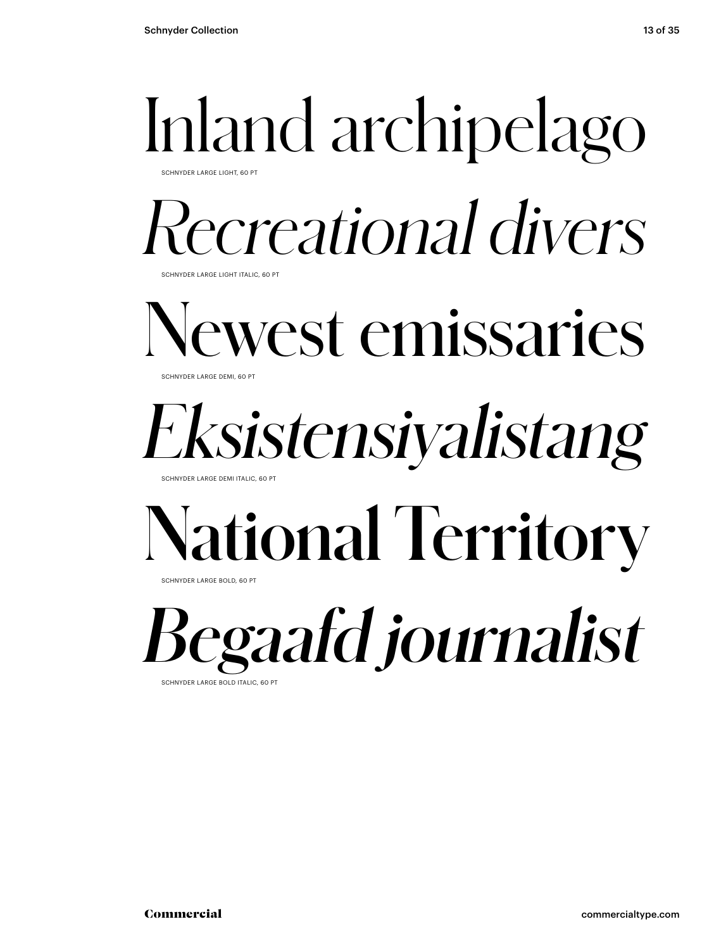#### Inland archipelago SCHNYDER LARGE LIGHT, 60 PT

*Recreational divers*

**SCHNYDER LARGE LIGHT ITALIC, 60 PT** 

Newest emissaries SCHNYDER LARGE DEMI, 60 PT

### *Eksistensiyalistang*

CHNYDER LARGE DEMI ITALIC, 60 P

### **National Territory**

SCHNYDER LARGE BOLD, 60 PT

*Begaafd journalist* SCHNYDER LARGE BOLD ITALIC, 60 PT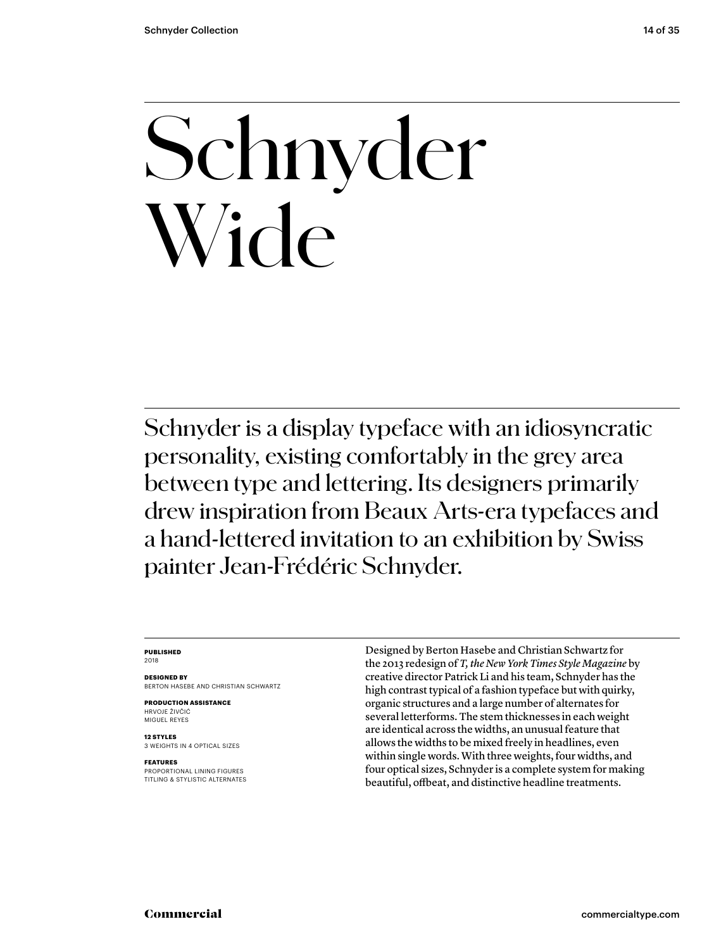## Schnyder Wide

Schnyder is a display typeface with an idiosyncratic personality, existing comfortably in the grey area between type and lettering. Its designers primarily drew inspiration from Beaux Arts-era typefaces and a hand-lettered invitation to an exhibition by Swiss painter Jean-Frédéric Schnyder.

#### **PUBLISHED** 2018

**DESIGNED BY** BERTON HASEBE AND CHRISTIAN SCHWARTZ

**PRODUCTION ASSISTANCE** HRVOJE ŽIVČIĆ MIGUEL REYES

**12 STYLES** 3 WEIGHTS IN 4 OPTICAL SIZES

**FEATURES** PROPORTIONAL LINING FIGURES TITLING & STYLISTIC ALTERNATES Designed by Berton Hasebe and Christian Schwartz for the 2013 redesign of *T, the New York Times Style Magazine* by creative director Patrick Li and his team, Schnyder has the high contrast typical of a fashion typeface but with quirky, organic structures and a large number of alternates for several letterforms. The stem thicknesses in each weight are identical across the widths, an unusual feature that allows the widths to be mixed freely in headlines, even within single words. With three weights, four widths, and four optical sizes, Schnyder is a complete system for making beautiful, offbeat, and distinctive headline treatments.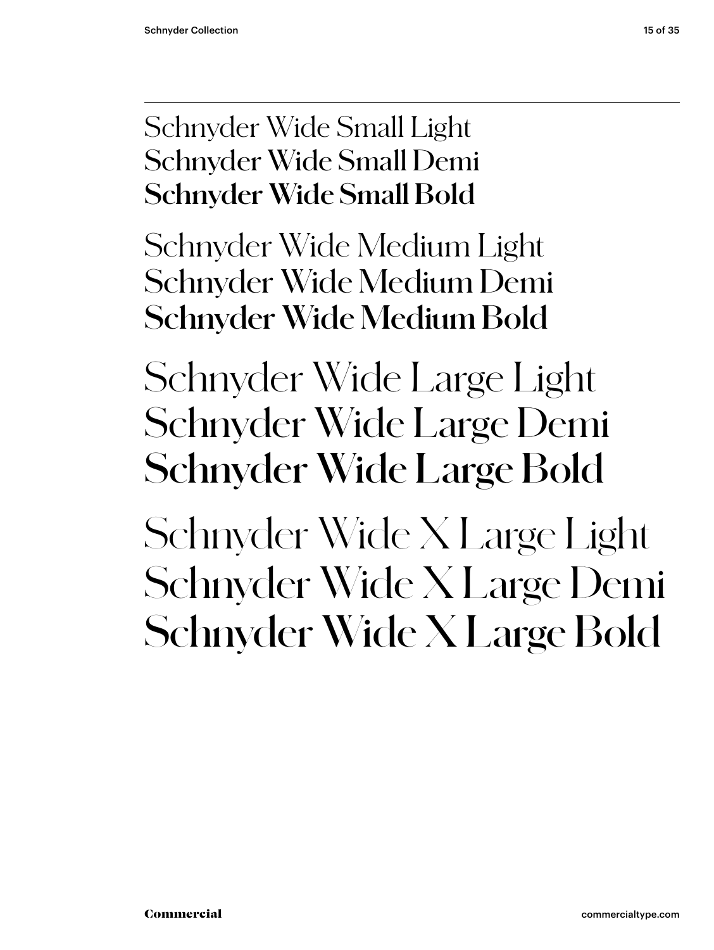#### Schnyder Wide Small Light Schnyder Wide Small Demi **Schnyder Wide Small Bold**

Schnyder Wide Medium Light Schnyder Wide Medium Demi **Schnyder Wide Medium Bold**

Schnyder Wide Large Light Schnyder Wide Large Demi **Schnyder Wide Large Bold**

Schnyder Wide X Large Light Schnyder Wide X Large Demi **Schnyder Wide X Large Bold**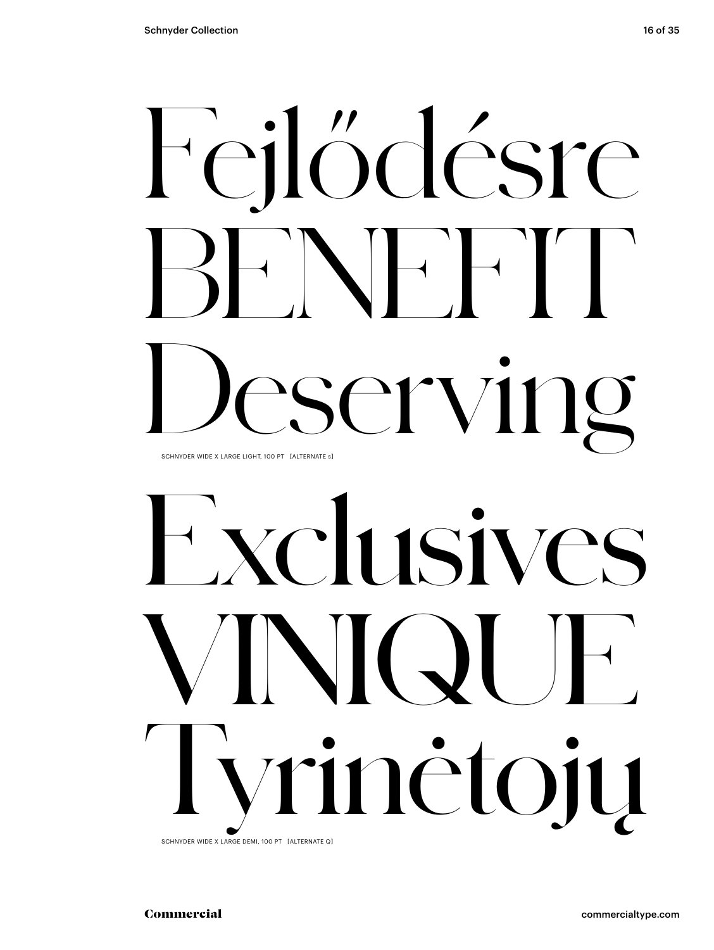# Fejlődésre  $\begin{array}{|c|c|c|c|c|}\n\hline\n\hline\n\end{array}$ servi

SCHNYDER WIDE X LARGE LIGHT, 100 PT [ALTERNATE s]

# Exclusive VINIQUE Tyrinėtojų

SCHNYDER WIDE X LARGE DEMI, 100 PT [ALTERNATE Q]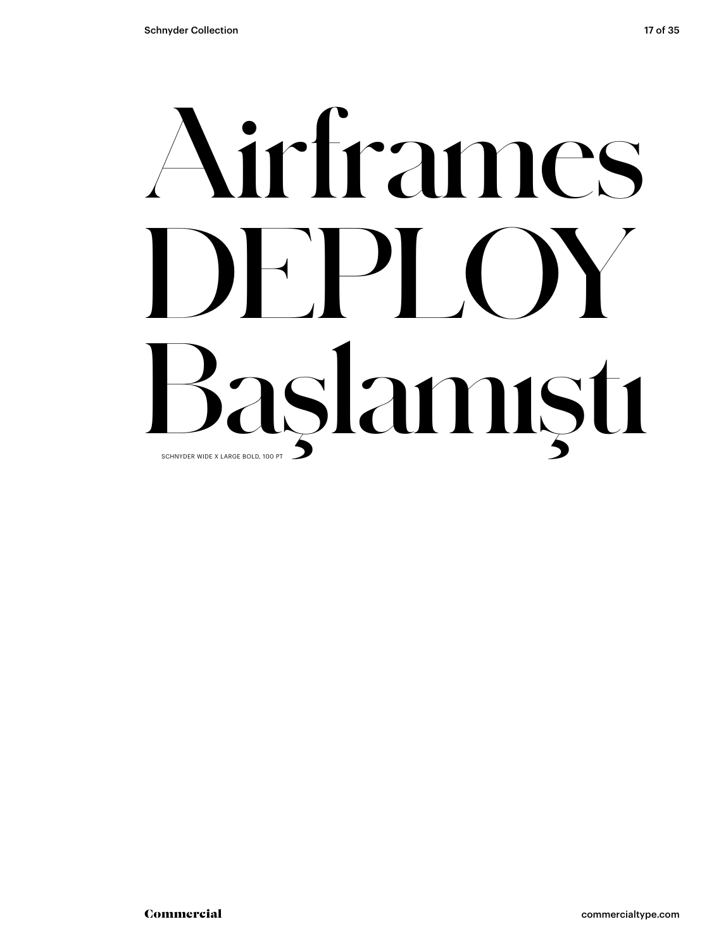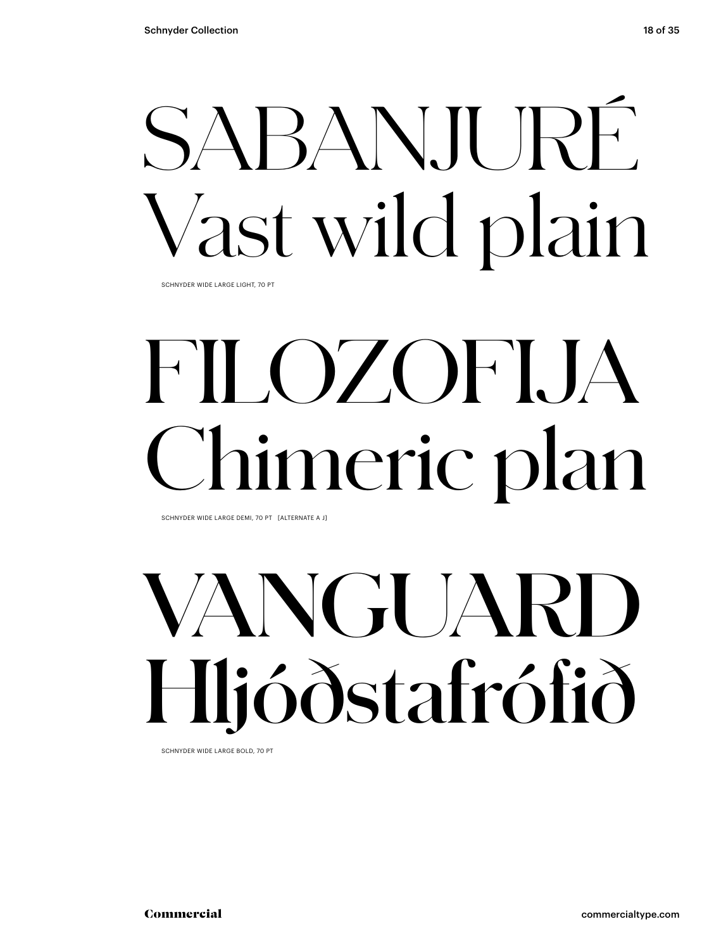## SABAN.II JRÉ Vast wild plain

SCHNYDER WIDE LARGE LIGHT, 70 PT

## FILOZOFIJA Chimeric plan

SCHNYDER WIDE LARGE DEMI, 70 PT [ALTERNATE A J]

## **VANGUARD Hljóðstafrófið**

SCHNYDER WIDE LARGE BOLD, 70 PT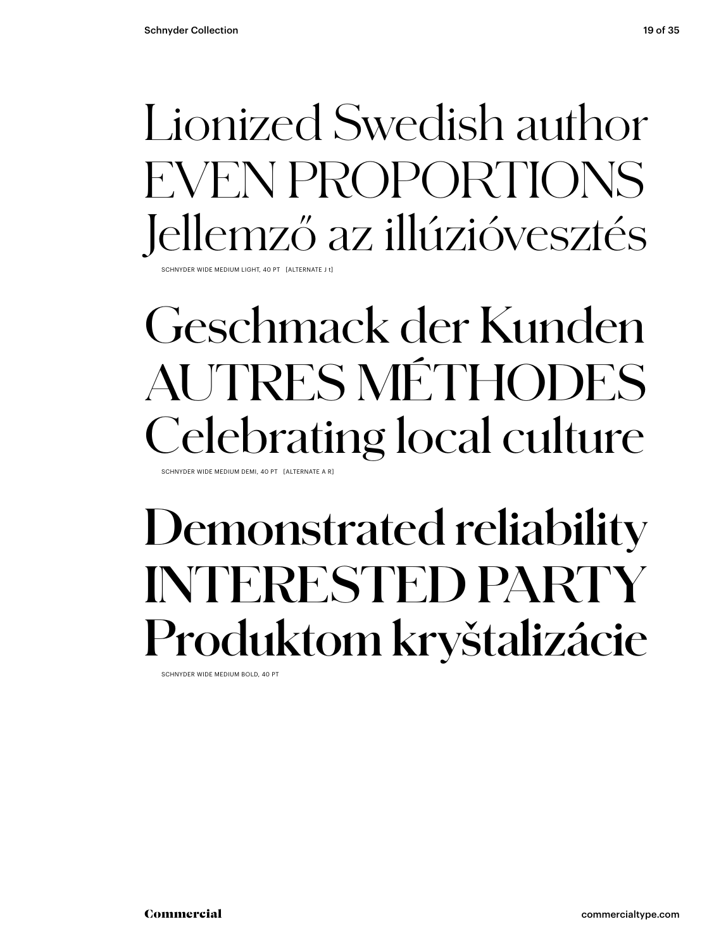### Lionized Swedish author EVEN PROPORTIONS Jellemző az illúzióvesztés

SCHNYDER WIDE MEDIUM LIGHT, 40 PT [ALTERNATE J t]

### Geschmack der Kunden AUTRES MÉTHODES Celebrating local culture

SCHNYDER WIDE MEDIUM DEMI, 40 PT [ALTERNATE A R]

### **Demonstrated reliability INTERESTED PARTY Produktom kryštalizácie**

SCHNYDER WIDE MEDIUM BOLD, 40 PT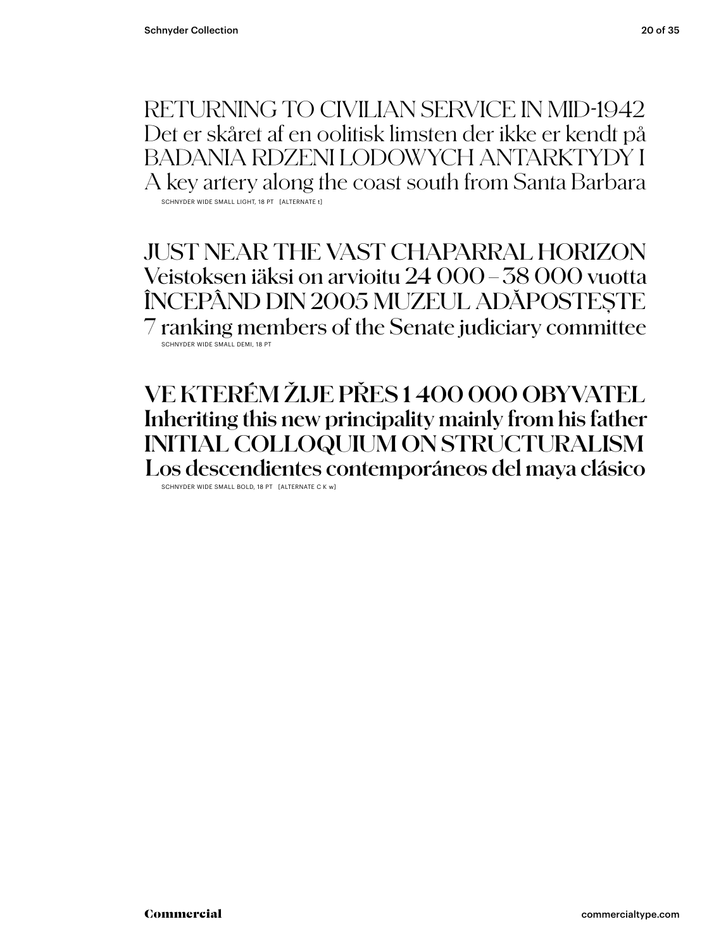RETURNING TO CIVILIAN SERVICE IN MID-1942 Det er skåret af en oolitisk limsten der ikke er kendt på BADANIA RDZENI LODOWYCH ANTARKTYDY I A key artery along the coast south from Santa Barbara SCHNYDER WIDE SMALL LIGHT, 18 PT [ALTERNATE t]

JUST NEAR THE VAST CHAPARRAL HORIZON Veistoksen iäksi on arvioitu 24 000–38 000 vuotta ÎNCEPÂND DIN 2005 MUZEUL ADĂPOSTEȘTE 7 ranking members of the Senate judiciary committee SCHNYDER WIDE SMALL DEMI, 18 PT

**VE KTERÉM ŽIJE PŘES 1 400 000 OBYVATEL Inheriting this new principality mainly from his father INITIAL COLLOQUIUM ON STRUCTURALISM Los descendientes contemporáneos del maya clásico**

SCHNYDER WIDE SMALL BOLD, 18 PT [ALTERNATE C K w]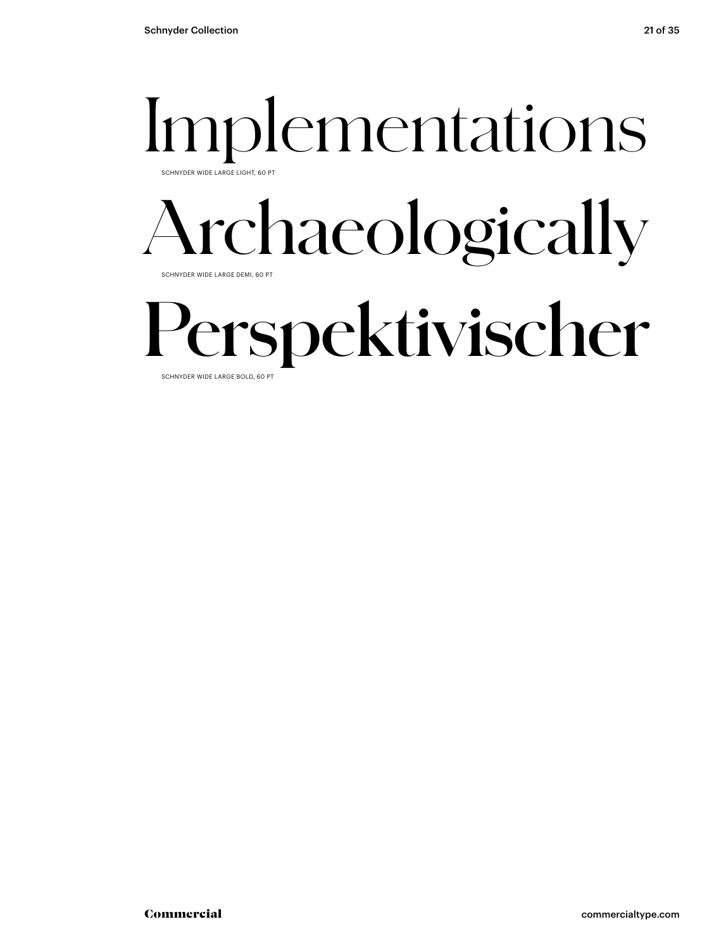#### Implementations SCHNYDER WIDE LARGE LIGHT, 60

#### Archaeologically SCHNYDER WIDE LARGE DEMI, 60 PT

### **Perspektivischer**

SCHNYDER WIDE LARGE BOLD, 60 PT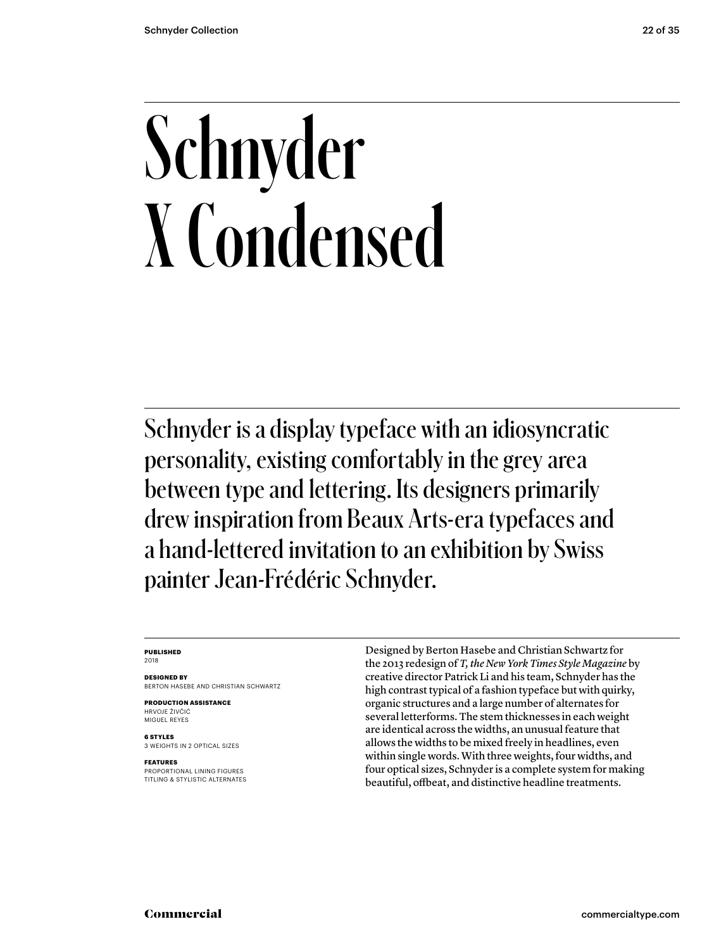## Schnyder X Condensed

Schnyder is a display typeface with an idiosyncratic personality, existing comfortably in the grey area between type and lettering. Its designers primarily drew inspiration from Beaux Arts-era typefaces and a hand-lettered invitation to an exhibition by Swiss painter Jean-Frédéric Schnyder.

#### **PUBLISHED** 2018

**DESIGNED BY**

BERTON HASEBE AND CHRISTIAN SCHWARTZ

**PRODUCTION ASSISTANCE** HRVOJE ŽIVČIĆ MIGUEL REYES

**6 STYLES** 3 WEIGHTS IN 2 OPTICAL SIZES

#### **FEATURES**

PROPORTIONAL LINING FIGURES TITLING & STYLISTIC ALTERNATES Designed by Berton Hasebe and Christian Schwartz for the 2013 redesign of *T, the New York Times Style Magazine* by creative director Patrick Li and his team, Schnyder has the high contrast typical of a fashion typeface but with quirky, organic structures and a large number of alternates for several letterforms. The stem thicknesses in each weight are identical across the widths, an unusual feature that allows the widths to be mixed freely in headlines, even within single words. With three weights, four widths, and four optical sizes, Schnyder is a complete system for making beautiful, offbeat, and distinctive headline treatments.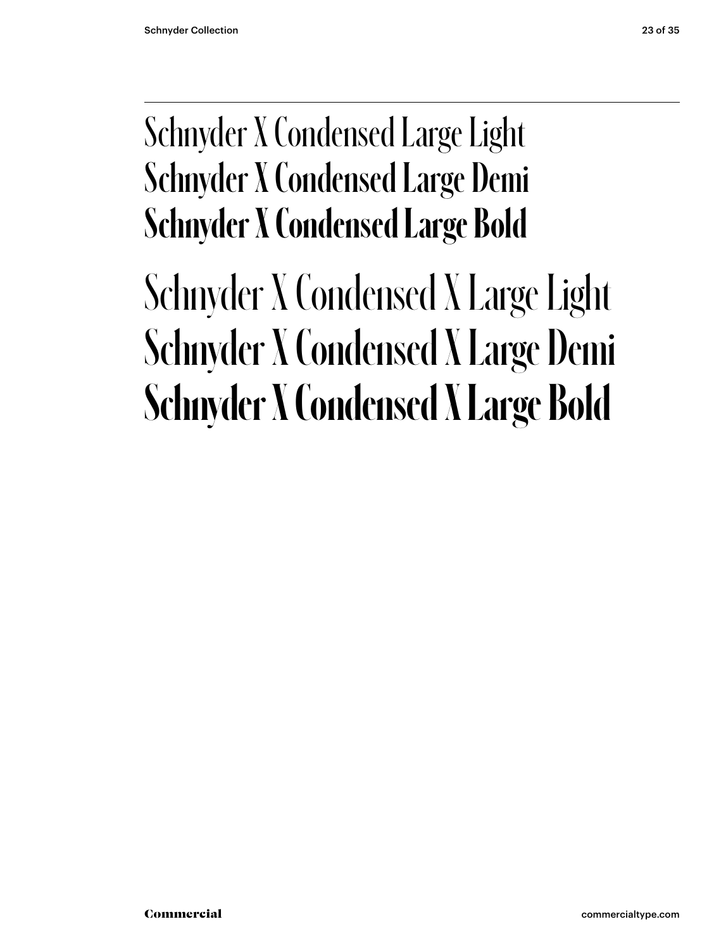#### Schnyder X Condensed Large Light Schnyder X Condensed Large Demi **Schnyder X Condensed Large Bold**

### Schnyder X Condensed X Large Light Schnyder X Condensed X Large Demi **Schnyder X Condensed X Large Bold**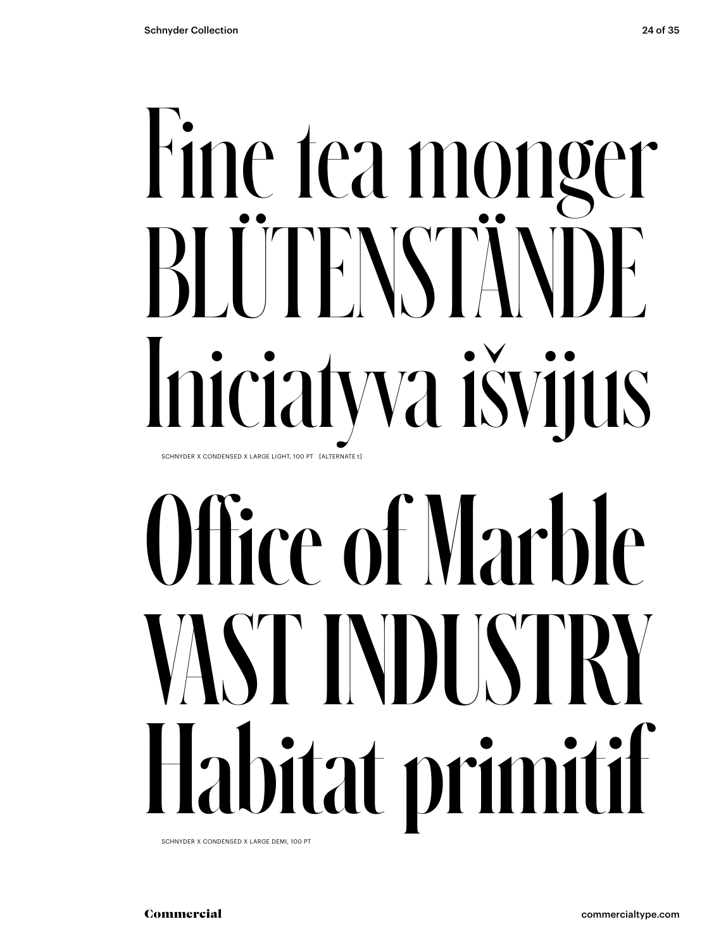## Fine tea monger BLÜTENSTÄND Iniciatyva išvijus SCHNYDER X CONDENSED X LARGE LIGHT, 100 PT [ALTERNATE t]

# Office of Marble VAST INDUSTRY Habitat primitif

SCHNYDER X CONDENSED X LARGE DEMI, 100 PT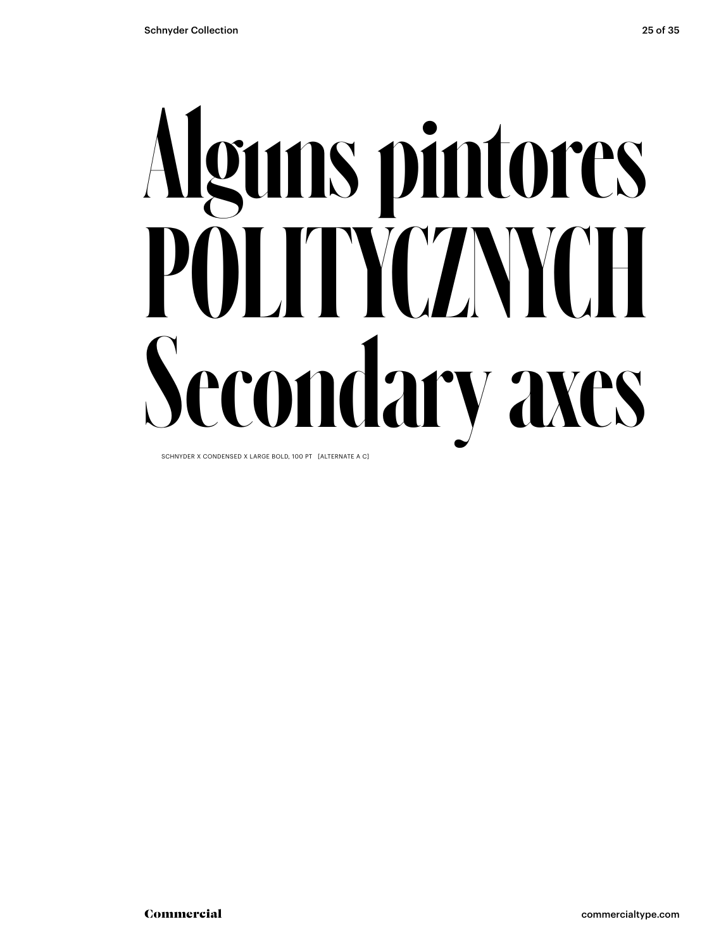# **Alguns pintores POLITYCZNYCH Secondary axes**

SCHNYDER X CONDENSED X LARGE BOLD, 100 PT [ALTERNATE A C]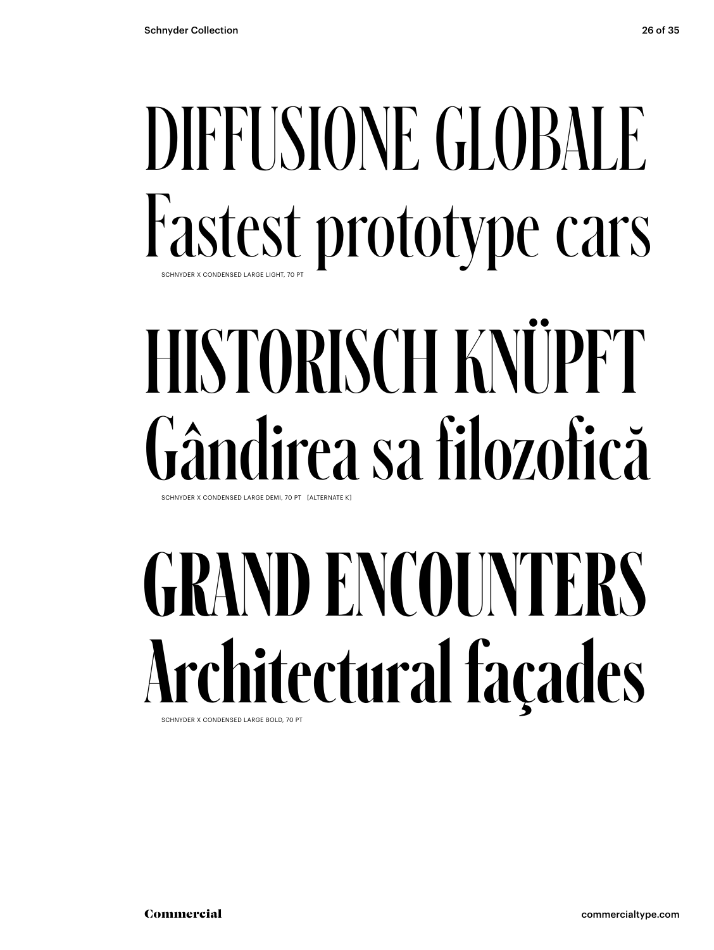### DIFFUSIONE GLOBALE Fastest prototype cars SCHNYDER X CONDENSED LARGE LIGHT, 70

## HISTORISCH KNÜPFT Gândirea sa filozofică

#### SCHNYDER X CONDENSED LARGE DEMI, 70 PT [ALTERNATE K]

## **GRAND ENCOUNTERS Architectural façades**

SCHNYDER X CONDENSED LARGE BOLD, 70 PT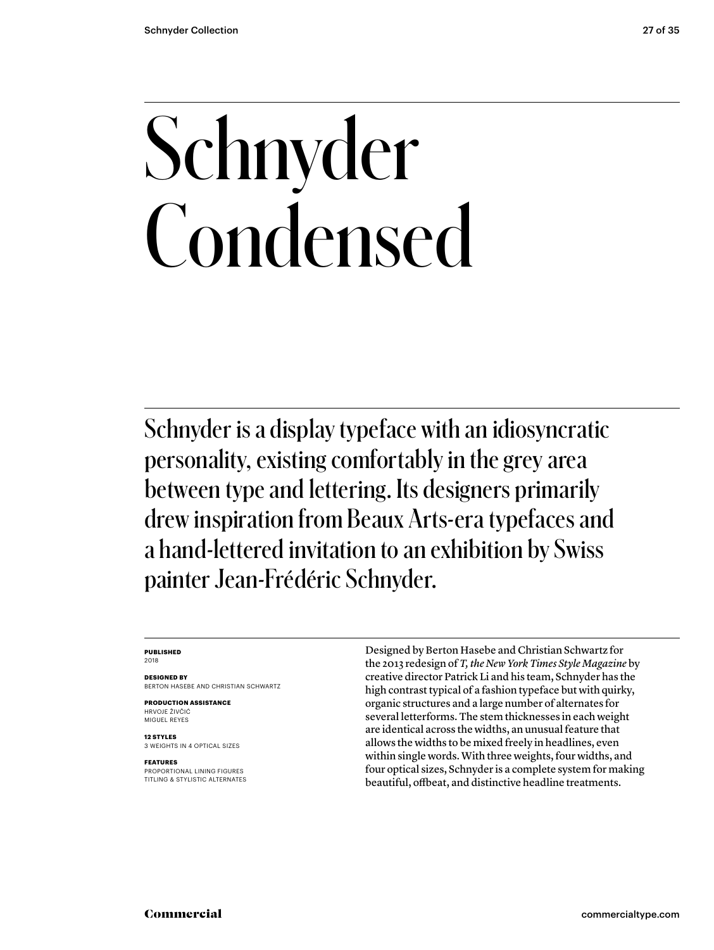## Schnyder Condensed

Schnyder is a display typeface with an idiosyncratic personality, existing comfortably in the grey area between type and lettering. Its designers primarily drew inspiration from Beaux Arts-era typefaces and a hand-lettered invitation to an exhibition by Swiss painter Jean-Frédéric Schnyder.

#### **PUBLISHED** 2018

**DESIGNED BY**

BERTON HASEBE AND CHRISTIAN SCHWARTZ

**PRODUCTION ASSISTANCE** HRVOJE ŽIVČIĆ MIGUEL REYES

**12 STYLES** 3 WEIGHTS IN 4 OPTICAL SIZES

#### **FEATURES**

PROPORTIONAL LINING FIGURES TITLING & STYLISTIC ALTERNATES Designed by Berton Hasebe and Christian Schwartz for the 2013 redesign of *T, the New York Times Style Magazine* by creative director Patrick Li and his team, Schnyder has the high contrast typical of a fashion typeface but with quirky, organic structures and a large number of alternates for several letterforms. The stem thicknesses in each weight are identical across the widths, an unusual feature that allows the widths to be mixed freely in headlines, even within single words. With three weights, four widths, and four optical sizes, Schnyder is a complete system for making beautiful, offbeat, and distinctive headline treatments.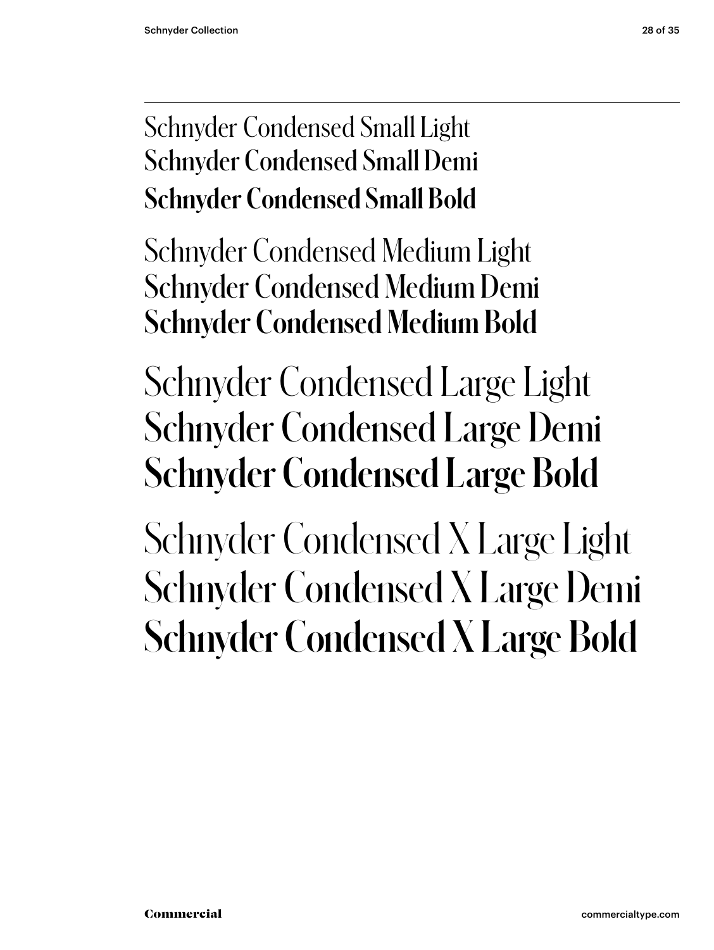#### Schnyder Condensed Small Light Schnyder Condensed Small Demi **Schnyder Condensed Small Bold**

Schnyder Condensed Medium Light Schnyder Condensed Medium Demi **Schnyder Condensed Medium Bold**

#### Schnyder Condensed Large Light Schnyder Condensed Large Demi **Schnyder Condensed Large Bold**

Schnyder Condensed X Large Light Schnyder Condensed X Large Demi **Schnyder Condensed X Large Bold**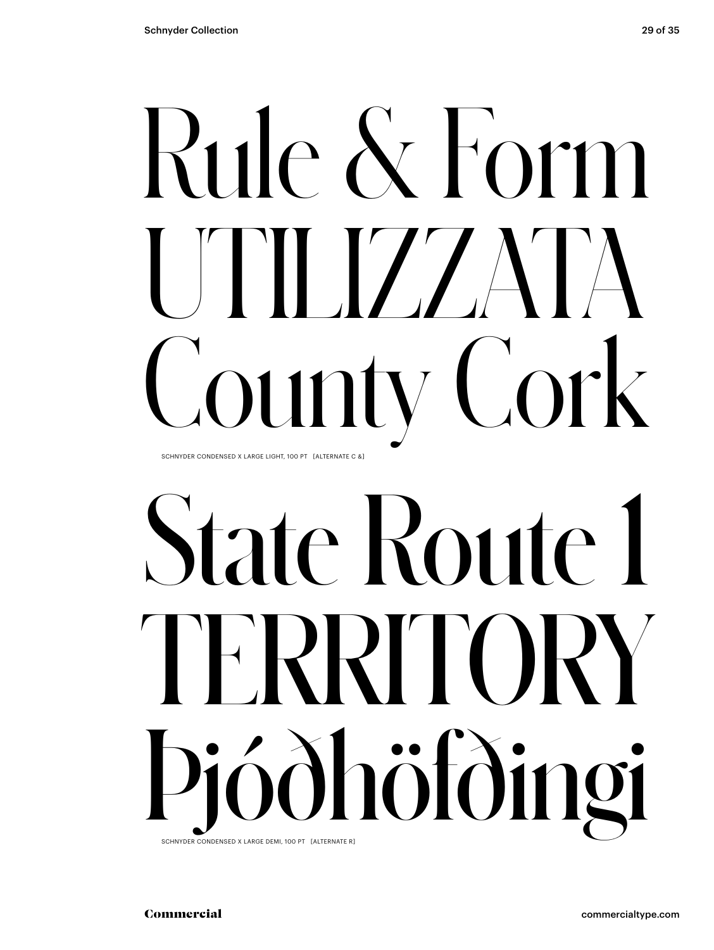## Rule & Form  $\blacksquare$ ounty Cork SCHNYDER CONDENSED X LARGE LIGHT, 100 PT [ALTERNATE C &]

## State Route 1 TERRITORY Þjóðhöfðingi SCHNYDER CONDENSED X LARGE DEMI, 100 PT [ALTERNATE R]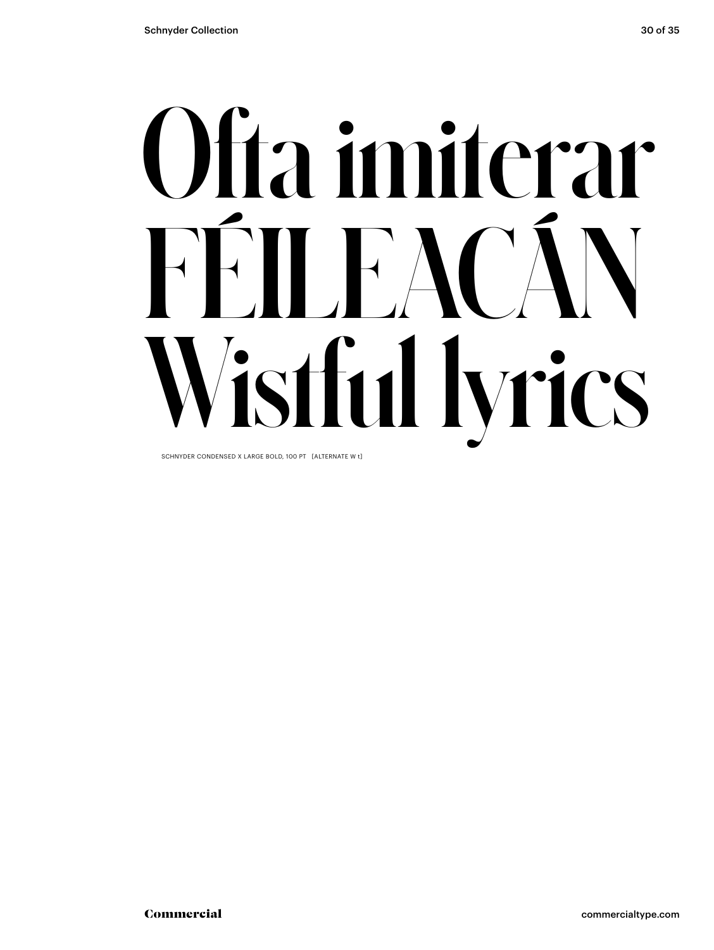# **Ofta imiterar FÉILEACÁN Wistful lyrics**

SCHNYDER CONDENSED X LARGE BOLD, 100 PT [ALTERNATE W t]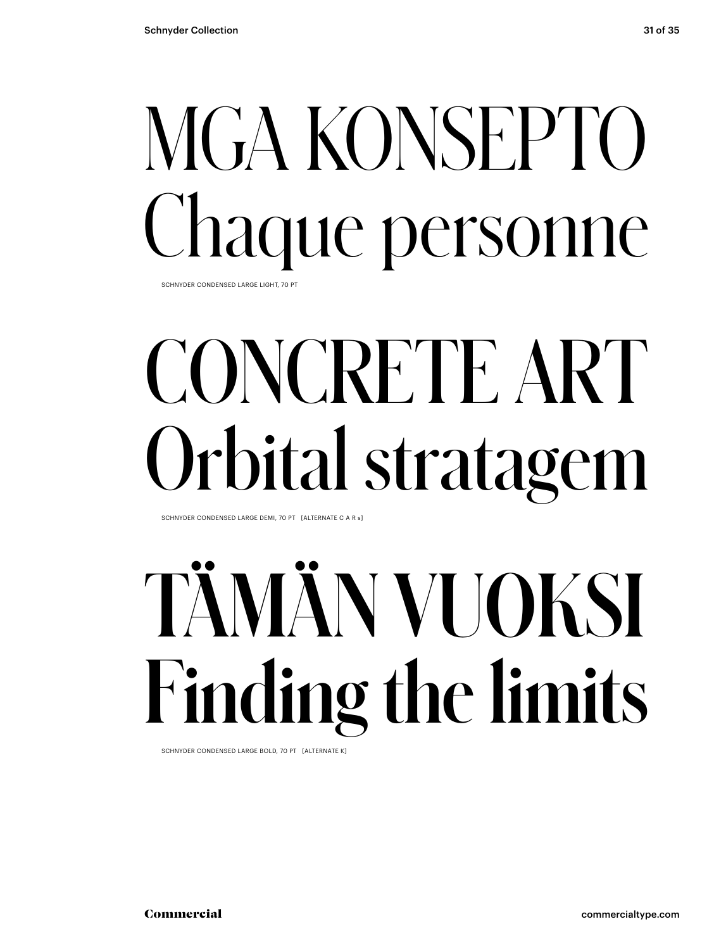### MGA KONSEPTO Chaque personne SCHNYDER CONDENSED LARGE LIGHT, 70 PT

## CONCRETE ART Orbital stratagem

SCHNYDER CONDENSED LARGE DEMI, 70 PT [ALTERNATE C A R s]

## **TÄMÄN VUOKSI Finding the limits**

SCHNYDER CONDENSED LARGE BOLD, 70 PT [ALTERNATE K]

Commercial commercialtype.com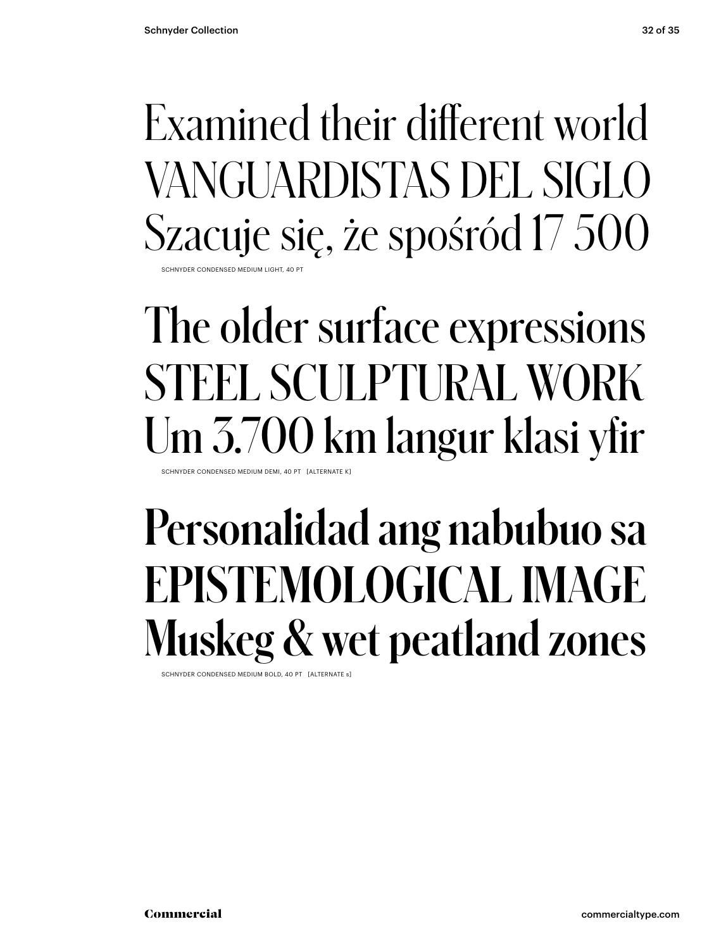Examined their different world VANGUARDISTAS DEL SIGLO Szacuje się, że spośród 17 500 SCHNYDER CONDENSED MEDIUM LIGHT, 40

### The older surface expressions STEEL SCULPTURAL WORK Um 3.700 km langur klasi yfir

SCHNYDER CONDENSED MEDIUM DEMI, 40 PT [ALTERNATE K]

### **Personalidad ang nabubuo sa EPISTEMOLOGICAL IMAGE Muskeg & wet peatland zones**

SCHNYDER CONDENSED MEDIUM BOLD, 40 PT [ALTERNATE s]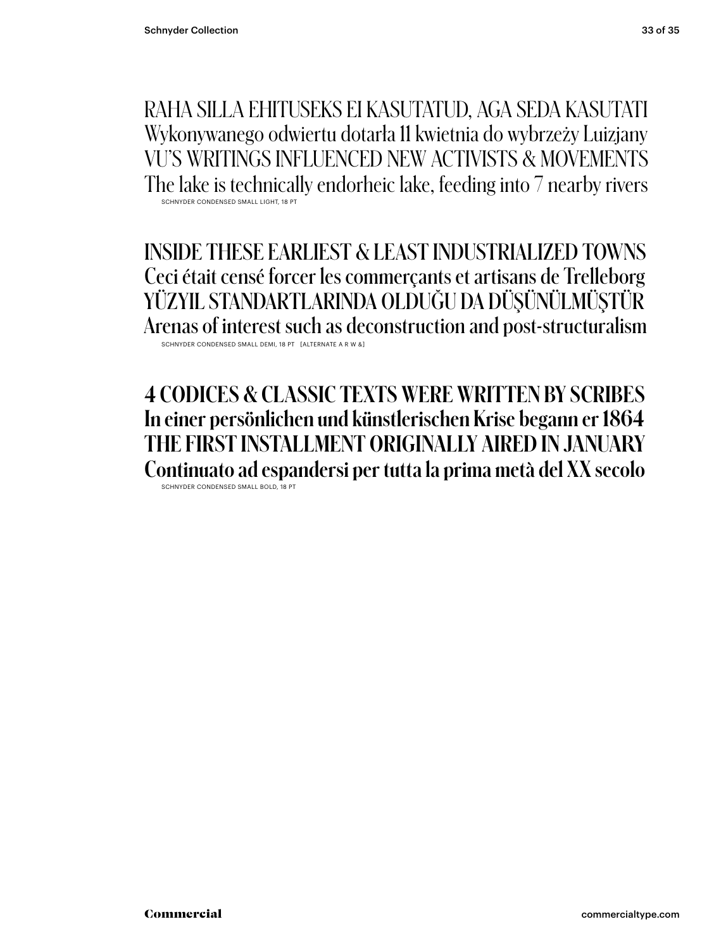RAHA SILLA EHITUSEKS EI KASUTATUD, AGA SEDA KASUTATI Wykonywanego odwiertu dotarła 11 kwietnia do wybrzeży Luizjany VU'S WRITINGS INFLUENCED NEW ACTIVISTS & MOVEMENTS The lake is technically endorheic lake, feeding into 7 nearby rivers SCHNYDER CONDENSED SMALL LIGHT, 18 PT

INSIDE THESE EARLIEST & LEAST INDUSTRIALIZED TOWNS Ceci était censé forcer les commerçants et artisans de Trelleborg YÜZYIL STANDARTLARINDA OLDUĞU DA DÜŞÜNÜLMÜŞTÜR Arenas of interest such as deconstruction and post-structuralism SCHNYDER CONDENSED SMALL DEMI, 18 PT [ALTERNATE A R W &

**4 CODICES & CLASSIC TEXTS WERE WRITTEN BY SCRIBES In einer persönlichen und künstlerischen Krise begann er 1864 THE FIRST INSTALLMENT ORIGINALLY AIRED IN JANUARY Continuato ad espandersi per tutta la prima metà del XX secolo** SCHNYDER CONDENSED SMALL BOLD, 18 PT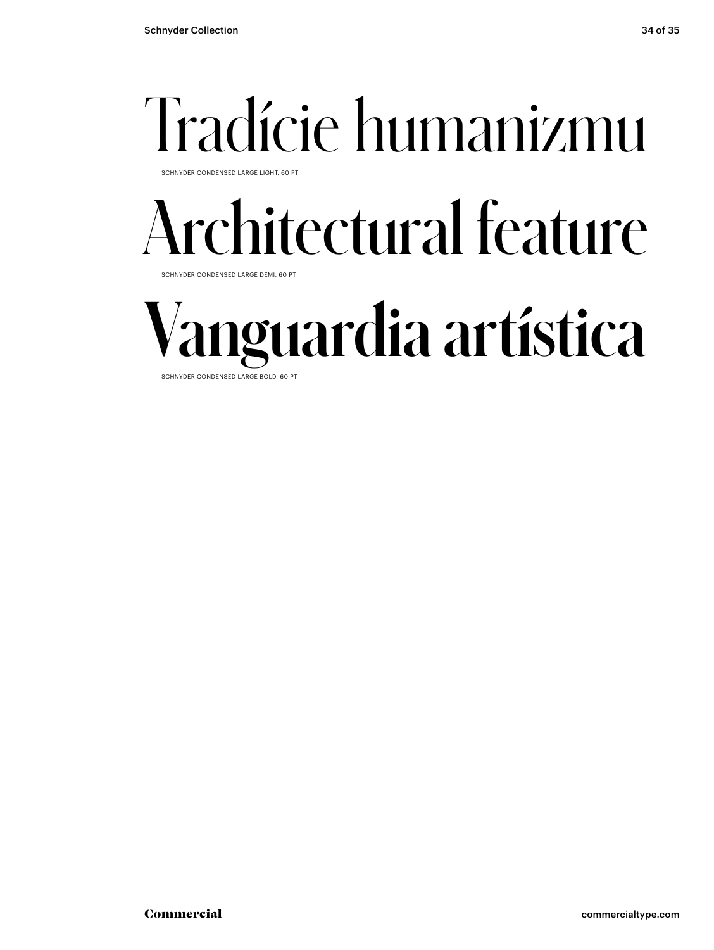### Tradície humanizmu

SCHNYDER CONDENSED LARGE LIGHT, 60 PT

### Architectural feature

SCHNYDER CONDENSED LARGE DEMI, 60 PT

### **Vanguardia artística**

SCHNYDER CONDENSED LARGE BOLD, 60 PT